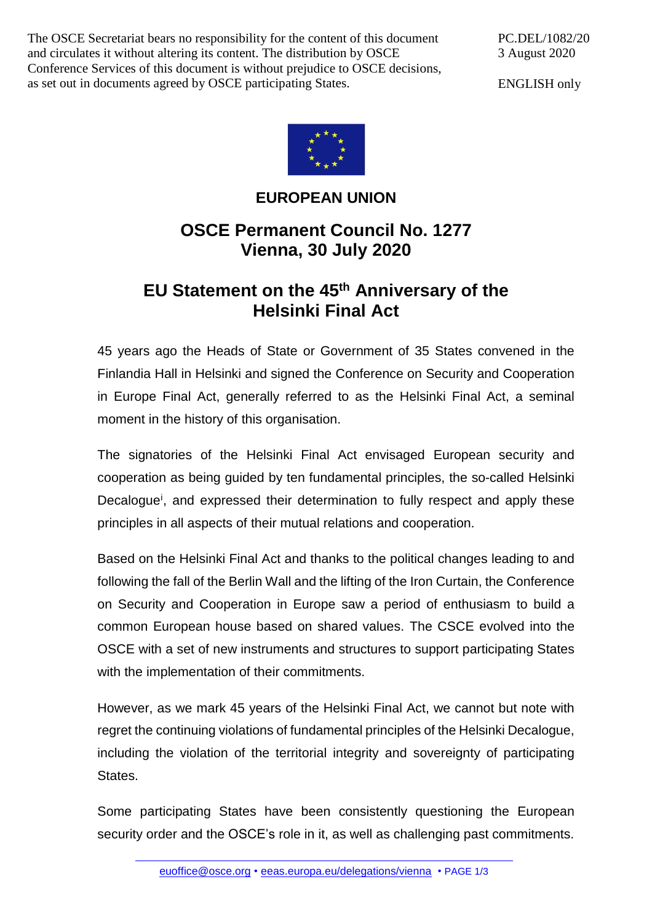The OSCE Secretariat bears no responsibility for the content of this document and circulates it without altering its content. The distribution by OSCE Conference Services of this document is without prejudice to OSCE decisions, as set out in documents agreed by OSCE participating States.

PC.DEL/1082/20 3 August 2020

ENGLISH only



## **EUROPEAN UNION**

## **OSCE Permanent Council No. 1277 Vienna, 30 July 2020**

## **EU Statement on the 45th Anniversary of the Helsinki Final Act**

45 years ago the Heads of State or Government of 35 States convened in the Finlandia Hall in Helsinki and signed the Conference on Security and Cooperation in Europe Final Act, generally referred to as the Helsinki Final Act, a seminal moment in the history of this organisation.

The signatories of the Helsinki Final Act envisaged European security and cooperation as being guided by ten fundamental principles, the so-called Helsinki Decalogue<sup>i</sup>, and expressed their determination to fully respect and apply these principles in all aspects of their mutual relations and cooperation.

Based on the Helsinki Final Act and thanks to the political changes leading to and following the fall of the Berlin Wall and the lifting of the Iron Curtain, the Conference on Security and Cooperation in Europe saw a period of enthusiasm to build a common European house based on shared values. The CSCE evolved into the OSCE with a set of new instruments and structures to support participating States with the implementation of their commitments.

However, as we mark 45 years of the Helsinki Final Act, we cannot but note with regret the continuing violations of fundamental principles of the Helsinki Decalogue, including the violation of the territorial integrity and sovereignty of participating States.

Some participating States have been consistently questioning the European security order and the OSCE's role in it, as well as challenging past commitments.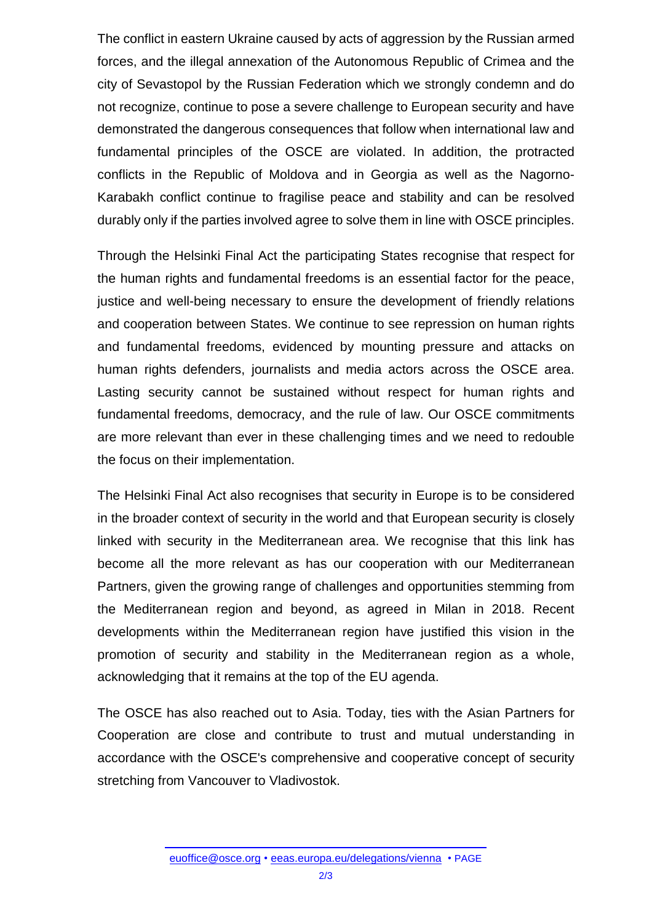The conflict in eastern Ukraine caused by acts of aggression by the Russian armed forces, and the illegal annexation of the Autonomous Republic of Crimea and the city of Sevastopol by the Russian Federation which we strongly condemn and do not recognize, continue to pose a severe challenge to European security and have demonstrated the dangerous consequences that follow when international law and fundamental principles of the OSCE are violated. In addition, the protracted conflicts in the Republic of Moldova and in Georgia as well as the Nagorno-Karabakh conflict continue to fragilise peace and stability and can be resolved durably only if the parties involved agree to solve them in line with OSCE principles.

Through the Helsinki Final Act the participating States recognise that respect for the human rights and fundamental freedoms is an essential factor for the peace, justice and well-being necessary to ensure the development of friendly relations and cooperation between States. We continue to see repression on human rights and fundamental freedoms, evidenced by mounting pressure and attacks on human rights defenders, journalists and media actors across the OSCE area. Lasting security cannot be sustained without respect for human rights and fundamental freedoms, democracy, and the rule of law. Our OSCE commitments are more relevant than ever in these challenging times and we need to redouble the focus on their implementation.

The Helsinki Final Act also recognises that security in Europe is to be considered in the broader context of security in the world and that European security is closely linked with security in the Mediterranean area. We recognise that this link has become all the more relevant as has our cooperation with our Mediterranean Partners, given the growing range of challenges and opportunities stemming from the Mediterranean region and beyond, as agreed in Milan in 2018. Recent developments within the Mediterranean region have justified this vision in the promotion of security and stability in the Mediterranean region as a whole, acknowledging that it remains at the top of the EU agenda.

The OSCE has also reached out to Asia. Today, ties with the Asian Partners for Cooperation are close and contribute to trust and mutual understanding in accordance with the OSCE's comprehensive and cooperative concept of security stretching from Vancouver to Vladivostok.